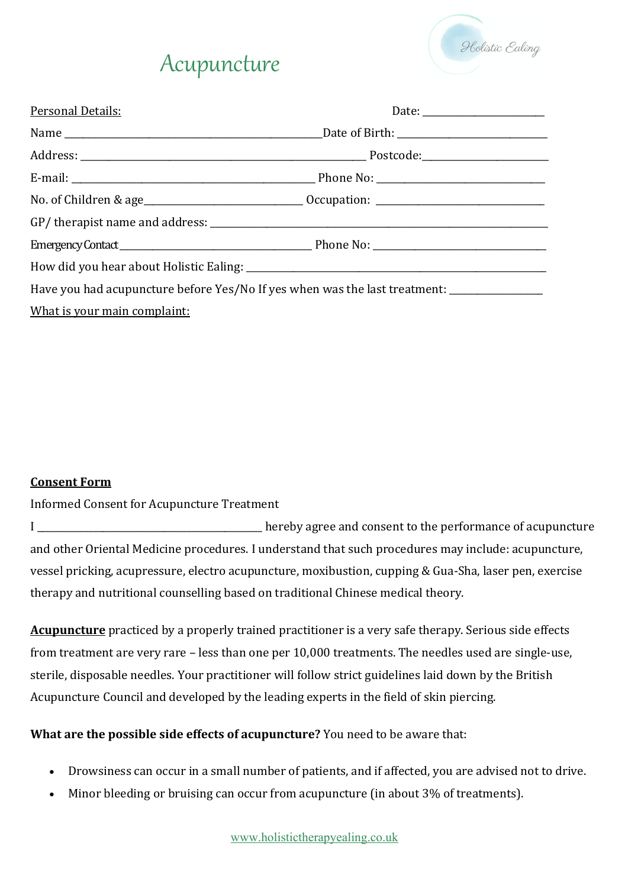

## Acupuncture

| Personal Details:                                                                                    |                                              |  |
|------------------------------------------------------------------------------------------------------|----------------------------------------------|--|
|                                                                                                      | _Date of Birth: ____________________________ |  |
|                                                                                                      |                                              |  |
|                                                                                                      |                                              |  |
| No. of Children & age_________________________________Occupation: __________________________________ |                                              |  |
|                                                                                                      |                                              |  |
|                                                                                                      |                                              |  |
|                                                                                                      |                                              |  |
| Have you had acupuncture before Yes/No If yes when was the last treatment: ________________________  |                                              |  |
| What is your main complaint:                                                                         |                                              |  |

#### **Consent Form**

Informed Consent for Acupuncture Treatment

I \_\_\_\_\_\_\_\_\_\_\_\_\_\_\_\_\_\_\_\_\_\_\_\_\_\_\_\_\_\_\_\_\_\_\_\_\_\_\_\_\_\_\_\_\_\_\_\_ hereby agree and consent to the performance of acupuncture and other Oriental Medicine procedures. I understand that such procedures may include: acupuncture, vessel pricking, acupressure, electro acupuncture, moxibustion, cupping & Gua-Sha, laser pen, exercise therapy and nutritional counselling based on traditional Chinese medical theory.

**Acupuncture** practiced by a properly trained practitioner is a very safe therapy. Serious side effects from treatment are very rare – less than one per 10,000 treatments. The needles used are single-use, sterile, disposable needles. Your practitioner will follow strict guidelines laid down by the British Acupuncture Council and developed by the leading experts in the field of skin piercing.

**What are the possible side effects of acupuncture?** You need to be aware that:

- Drowsiness can occur in a small number of patients, and if affected, you are advised not to drive.
- Minor bleeding or bruising can occur from acupuncture (in about 3% of treatments).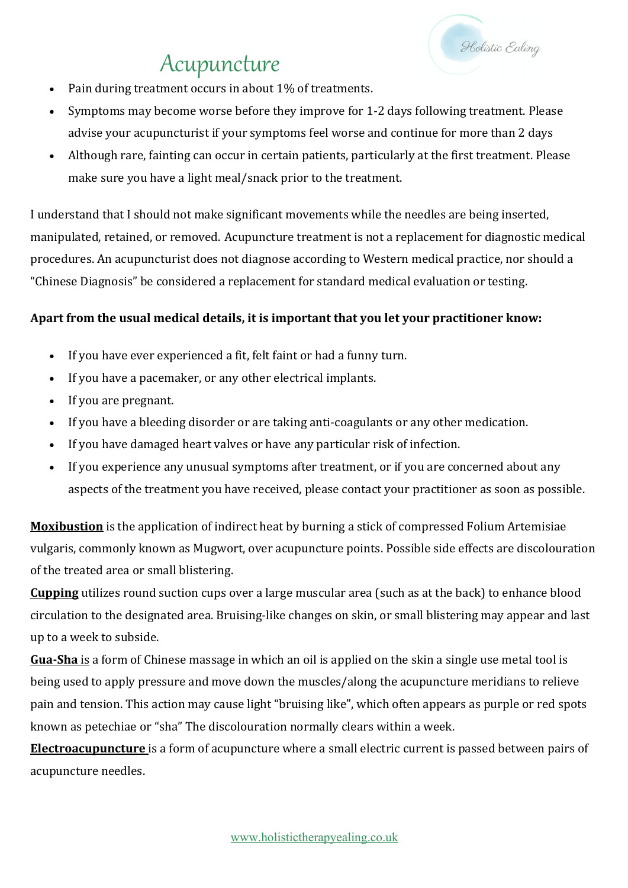# Acupuncture

- Pain during treatment occurs in about 1% of treatments.
- Symptoms may become worse before they improve for 1-2 days following treatment. Please advise your acupuncturist if your symptoms feel worse and continue for more than 2 days

Holistic Ealing

Although rare, fainting can occur in certain patients, particularly at the first treatment. Please make sure you have a light meal/snack prior to the treatment.

I understand that I should not make significant movements while the needles are being inserted, manipulated, retained, or removed. Acupuncture treatment is not a replacement for diagnostic medical procedures. An acupuncturist does not diagnose according to Western medical practice, nor should a "Chinese Diagnosis" be considered a replacement for standard medical evaluation or testing.

### Apart from the usual medical details, it is important that you let your practitioner know:

- If you have ever experienced a fit, felt faint or had a funny turn.
- If you have a pacemaker, or any other electrical implants.
- If you are pregnant.
- If you have a bleeding disorder or are taking anti-coagulants or any other medication.
- If you have damaged heart valves or have any particular risk of infection.
- If you experience any unusual symptoms after treatment, or if you are concerned about any aspects of the treatment you have received, please contact your practitioner as soon as possible.

**Moxibustion** is the application of indirect heat by burning a stick of compressed Folium Artemisiae vulgaris, commonly known as Mugwort, over acupuncture points. Possible side effects are discolouration of the treated area or small blistering.

**Cupping** utilizes round suction cups over a large muscular area (such as at the back) to enhance blood circulation to the designated area. Bruising-like changes on skin, or small blistering may appear and last up to a week to subside.

**Gua-Sha** is a form of Chinese massage in which an oil is applied on the skin a single use metal tool is being used to apply pressure and move down the muscles/along the acupuncture meridians to relieve pain and tension. This action may cause light "bruising like", which often appears as purple or red spots known as petechiae or "sha" The discolouration normally clears within a week.

**Electroacupuncture** is a form of acupuncture where a small electric current is passed between pairs of acupuncture needles.